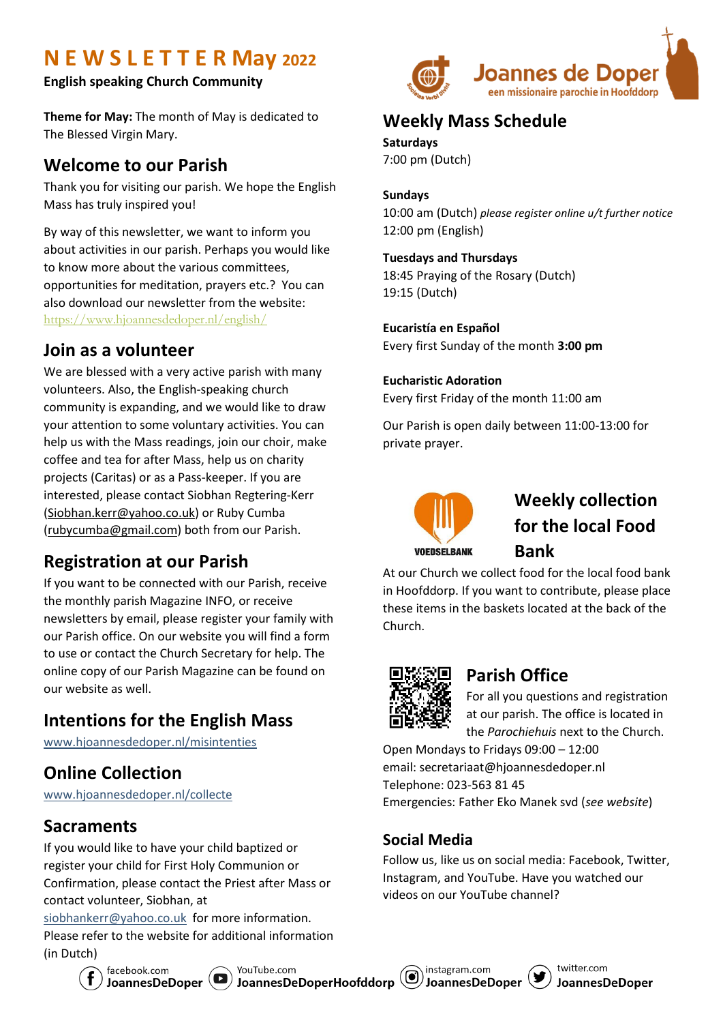# **N E W S L E T T E R May 2022**

**English speaking Church Community**

**Theme for May:** The month of May is dedicated to The Blessed Virgin Mary.

### **Welcome to our Parish**

Thank you for visiting our parish. We hope the English Mass has truly inspired you!

By way of this newsletter, we want to inform you about activities in our parish. Perhaps you would like to know more about the various committees, opportunities for meditation, prayers etc.? You can also download our newsletter from the website: [https://www.hjoannesdedoper.nl/english/](https://nam10.safelinks.protection.outlook.com/?url=https%3A%2F%2Fwww.hjoannesdedoper.nl%2Fenglish%2F&data=04%7C01%7CSiobhan.Kerr%40intralox.com%7C126e5cde8b46403d2bae08d9ae898812%7C334c20a9614f4ea4a007b1c681f52075%7C0%7C0%7C637732727995529537%7CUnknown%7CTWFpbGZsb3d8eyJWIjoiMC4wLjAwMDAiLCJQIjoiV2luMzIiLCJBTiI6Ik1haWwiLCJXVCI6Mn0%3D%7C3000&sdata=piAMs2lmw90Na5kX3MWFMXZMB7pTj7vEOQh3urqTjzU%3D&reserved=0)

## **Join as a volunteer**

We are blessed with a very active parish with many volunteers. Also, the English-speaking church community is expanding, and we would like to draw your attention to some voluntary activities. You can help us with the Mass readings, join our choir, make coffee and tea for after Mass, help us on charity projects (Caritas) or as a Pass-keeper. If you are interested, please contact Siobhan Regtering-Kerr [\(Siobhan.kerr@yahoo.co.uk\)](mailto:Siobhan.kerr@yahoo.co.uk) or Ruby Cumba [\(rubycumba@gmail.com\)](mailto:rubycumba@gmail.com) both from our Parish.

## **Registration at our Parish**

If you want to be connected with our Parish, receive the monthly parish Magazine INFO, or receive newsletters by email, please register your family with our Parish office. On our website you will find a form to use or contact the Church Secretary for help. The online copy of our Parish Magazine can be found on our website as well.

## **Intentions for the English Mass**

[www.hjoannesdedoper.nl/misintenties](http://www.hjoannesdedoper.nl/misintenties)

## **Online Collection**

[www.hjoannesdedoper.nl/collecte](http://www.hjoannesdedoper.nl/collecte)

## **Sacraments**

If you would like to have your child baptized or register your child for First Holy Communion or Confirmation, please contact the Priest after Mass or contact volunteer, Siobhan, at

[siobhankerr@yahoo.co.uk](mailto:siobhankerr@yahoo.co.uk) for more information. Please refer to the website for additional information (in Dutch)



## **Weekly Mass Schedule**

**Saturdays** 7:00 pm (Dutch)

#### **Sundays**

10:00 am (Dutch) *please register online u/t further notice* 12:00 pm (English)

#### **Tuesdays and Thursdays**

18:45 Praying of the Rosary (Dutch) 19:15 (Dutch)

**Eucaristía en Español** Every first Sunday of the month **3:00 pm**

#### **Eucharistic Adoration**

Every first Friday of the month 11:00 am

Our Parish is open daily between 11:00-13:00 for private prayer.



## **Weekly collection for the local Food Bank**

At our Church we collect food for the local food bank in Hoofddorp. If you want to contribute, please place these items in the baskets located at the back of the Church.



## **Parish Office**

For all you questions and registration at our parish. The office is located in the *Parochiehuis* next to the Church.

Open Mondays to Fridays 09:00 – 12:00 email: secretariaat@hjoannesdedoper.nl Telephone: 023-563 81 45 Emergencies: Father Eko Manek svd (*see website*)

#### **Social Media**

Follow us, like us on social media: Facebook, Twitter, Instagram, and YouTube. Have you watched our videos on our YouTube channel?





YouTube.com YouTube.com<br>JoannesDeDoperHoofddorp

instagram.com **JoannesDeDoper**